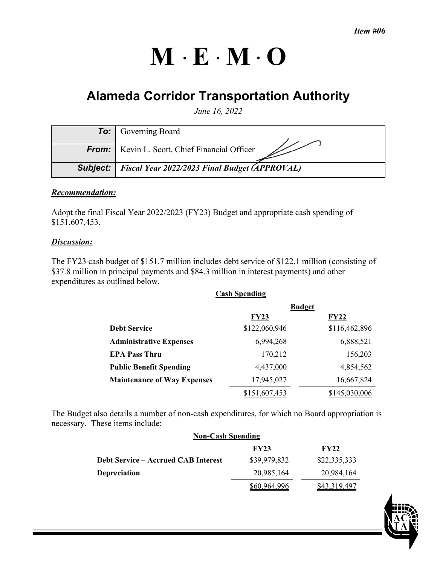# $M \cdot E \cdot M \cdot O$

## **Alameda Corridor Transportation Authority**

*June 16, 2022* 

| <b>To:</b> Governing Board                                      |
|-----------------------------------------------------------------|
|                                                                 |
| <b>From:</b>   Kevin L. Scott, Chief Financial Officer          |
|                                                                 |
| <b>Subject:</b>   Fiscal Year 2022/2023 Final Budget (APPROVAL) |

#### *Recommendation:*

Adopt the final Fiscal Year 2022/2023 (FY23) Budget and appropriate cash spending of \$151,607,453.

#### *Discussion:*

The FY23 cash budget of \$151.7 million includes debt service of \$122.1 million (consisting of \$37.8 million in principal payments and \$84.3 million in interest payments) and other expenditures as outlined below.

| <b>Cash Spending</b>               |               |               |  |  |  |  |
|------------------------------------|---------------|---------------|--|--|--|--|
|                                    | <b>Budget</b> |               |  |  |  |  |
|                                    | <b>FY23</b>   | <b>FY22</b>   |  |  |  |  |
| <b>Debt Service</b>                | \$122,060,946 | \$116,462,896 |  |  |  |  |
| <b>Administrative Expenses</b>     | 6,994,268     | 6,888,521     |  |  |  |  |
| <b>EPA Pass Thru</b>               | 170,212       | 156,203       |  |  |  |  |
| <b>Public Benefit Spending</b>     | 4,437,000     | 4,854,562     |  |  |  |  |
| <b>Maintenance of Way Expenses</b> | 17,945,027    | 16,667,824    |  |  |  |  |
|                                    | 151,607,453   | \$145,030,006 |  |  |  |  |

The Budget also details a number of non-cash expenditures, for which no Board appropriation is necessary. These items include:

| <b>Non-Cash Spending</b>                   |              |              |  |  |  |  |
|--------------------------------------------|--------------|--------------|--|--|--|--|
|                                            | <b>FY23</b>  | <b>FY22</b>  |  |  |  |  |
| <b>Debt Service – Accrued CAB Interest</b> | \$39,979,832 | \$22,335,333 |  |  |  |  |
| <b>Depreciation</b>                        | 20,985,164   | 20,984,164   |  |  |  |  |
|                                            | 60 964 996   | 843.319.497  |  |  |  |  |

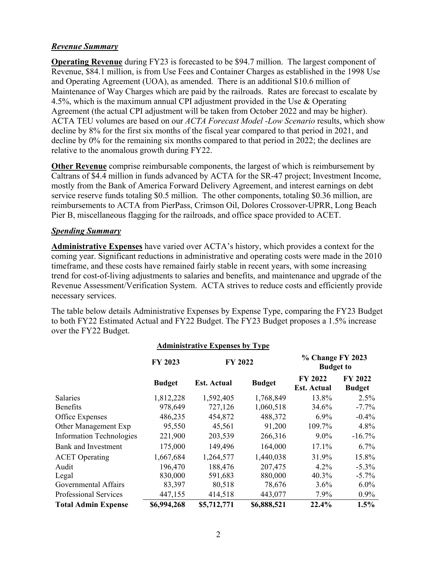#### *Revenue Summary*

**Operating Revenue** during FY23 is forecasted to be \$94.7 million. The largest component of Revenue, \$84.1 million, is from Use Fees and Container Charges as established in the 1998 Use and Operating Agreement (UOA), as amended. There is an additional \$10.6 million of Maintenance of Way Charges which are paid by the railroads. Rates are forecast to escalate by 4.5%, which is the maximum annual CPI adjustment provided in the Use & Operating Agreement (the actual CPI adjustment will be taken from October 2022 and may be higher). ACTA TEU volumes are based on our *ACTA Forecast Model -Low Scenario* results, which show decline by 8% for the first six months of the fiscal year compared to that period in 2021, and decline by 0% for the remaining six months compared to that period in 2022; the declines are relative to the anomalous growth during FY22.

**Other Revenue** comprise reimbursable components, the largest of which is reimbursement by Caltrans of \$4.4 million in funds advanced by ACTA for the SR-47 project; Investment Income, mostly from the Bank of America Forward Delivery Agreement, and interest earnings on debt service reserve funds totaling \$0.5 million. The other components, totaling \$0.36 million, are reimbursements to ACTA from PierPass, Crimson Oil, Dolores Crossover-UPRR, Long Beach Pier B, miscellaneous flagging for the railroads, and office space provided to ACET.

#### *Spending Summary*

**Administrative Expenses** have varied over ACTA's history, which provides a context for the coming year. Significant reductions in administrative and operating costs were made in the 2010 timeframe, and these costs have remained fairly stable in recent years, with some increasing trend for cost-of-living adjustments to salaries and benefits, and maintenance and upgrade of the Revenue Assessment/Verification System. ACTA strives to reduce costs and efficiently provide necessary services.

The table below details Administrative Expenses by Expense Type, comparing the FY23 Budget to both FY22 Estimated Actual and FY22 Budget. The FY23 Budget proposes a 1.5% increase over the FY22 Budget.

| <b>Administrative Expenses by Type</b> |                           |                    |               |                                      |                          |  |  |
|----------------------------------------|---------------------------|--------------------|---------------|--------------------------------------|--------------------------|--|--|
|                                        | <b>FY 2022</b><br>FY 2023 |                    |               | % Change FY 2023<br><b>Budget to</b> |                          |  |  |
|                                        | <b>Budget</b>             | <b>Est. Actual</b> | <b>Budget</b> | FY 2022<br><b>Est. Actual</b>        | FY 2022<br><b>Budget</b> |  |  |
| <b>Salaries</b>                        | 1,812,228                 | 1,592,405          | 1,768,849     | 13.8%                                | $2.5\%$                  |  |  |
| Benefits                               | 978,649                   | 727,126            | 1,060,518     | 34.6%                                | $-7.7\%$                 |  |  |
| Office Expenses                        | 486,235                   | 454,872            | 488,372       | $6.9\%$                              | $-0.4\%$                 |  |  |
| Other Management Exp                   | 95,550                    | 45,561             | 91,200        | 109.7%                               | 4.8%                     |  |  |
| <b>Information Technologies</b>        | 221,900                   | 203,539            | 266,316       | $9.0\%$                              | $-16.7\%$                |  |  |
| <b>Bank and Investment</b>             | 175,000                   | 149,496            | 164,000       | 17.1%                                | 6.7%                     |  |  |
| <b>ACET</b> Operating                  | 1,667,684                 | 1,264,577          | 1,440,038     | 31.9%                                | 15.8%                    |  |  |
| Audit                                  | 196,470                   | 188,476            | 207,475       | $4.2\%$                              | $-5.3\%$                 |  |  |
| Legal                                  | 830,000                   | 591,683            | 880,000       | 40.3%                                | $-5.7\%$                 |  |  |
| Governmental Affairs                   | 83,397                    | 80,518             | 78,676        | 3.6%                                 | $6.0\%$                  |  |  |
| <b>Professional Services</b>           | 447,155                   | 414,518            | 443,077       | 7.9%                                 | $0.9\%$                  |  |  |
| <b>Total Admin Expense</b>             | \$6,994,268               | \$5,712,771        | \$6,888,521   | 22.4%                                | 1.5%                     |  |  |